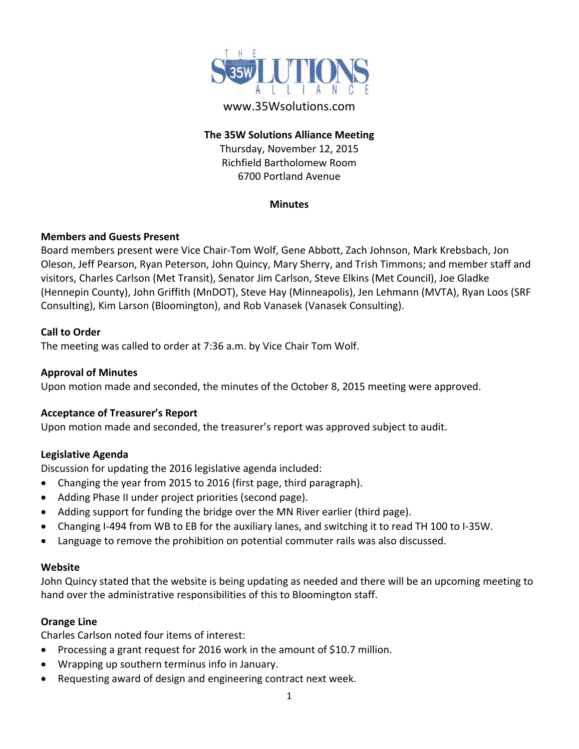

## **The 35W Solutions Alliance Meeting**

Thursday, November 12, 2015 Richfield Bartholomew Room 6700 Portland Avenue

### **Minutes**

# **Members and Guests Present**

Board members present were Vice Chair‐Tom Wolf, Gene Abbott, Zach Johnson, Mark Krebsbach, Jon Oleson, Jeff Pearson, Ryan Peterson, John Quincy, Mary Sherry, and Trish Timmons; and member staff and visitors, Charles Carlson (Met Transit), Senator Jim Carlson, Steve Elkins (Met Council), Joe Gladke (Hennepin County), John Griffith (MnDOT), Steve Hay (Minneapolis), Jen Lehmann (MVTA), Ryan Loos (SRF Consulting), Kim Larson (Bloomington), and Rob Vanasek (Vanasek Consulting).

## **Call to Order**

The meeting was called to order at 7:36 a.m. by Vice Chair Tom Wolf.

## **Approval of Minutes**

Upon motion made and seconded, the minutes of the October 8, 2015 meeting were approved.

# **Acceptance of Treasurer's Report**

Upon motion made and seconded, the treasurer's report was approved subject to audit.

# **Legislative Agenda**

Discussion for updating the 2016 legislative agenda included:

- Changing the year from 2015 to 2016 (first page, third paragraph).
- Adding Phase II under project priorities (second page).
- Adding support for funding the bridge over the MN River earlier (third page).
- Changing I‐494 from WB to EB for the auxiliary lanes, and switching it to read TH 100 to I‐35W.
- Language to remove the prohibition on potential commuter rails was also discussed.

### **Website**

John Quincy stated that the website is being updating as needed and there will be an upcoming meeting to hand over the administrative responsibilities of this to Bloomington staff.

# **Orange Line**

Charles Carlson noted four items of interest:

- Processing a grant request for 2016 work in the amount of \$10.7 million.
- Wrapping up southern terminus info in January.
- Requesting award of design and engineering contract next week.